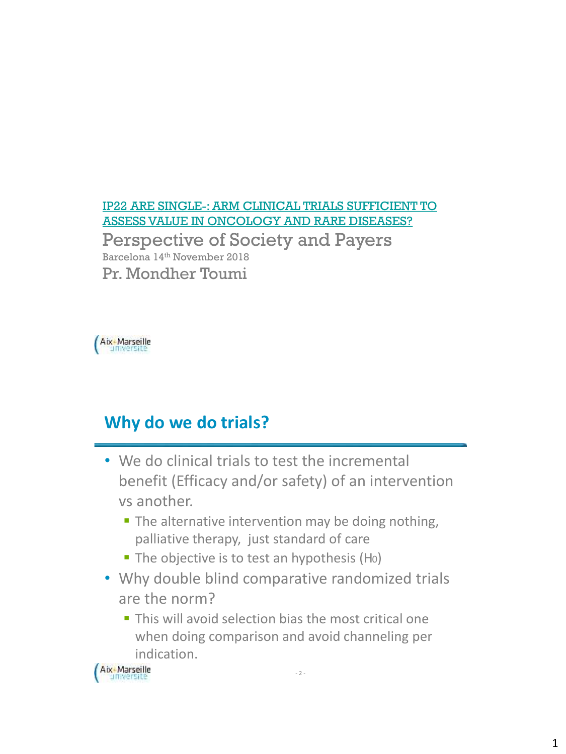### [IP22 ARE SINGLE-: ARM CLINICAL TRIALS SUFFICIENT TO](https://myisporbarcelona.zerista.com/event/member/516398?embedded=1) ASSESS VALUE IN ONCOLOGY AND RARE DISEASES?

Perspective of Society and Payers Barcelona 14th November 2018 Pr. Mondher Toumi



## **Why do we do trials?**

- We do clinical trials to test the incremental benefit (Efficacy and/or safety) of an intervention vs another.
	- The alternative intervention may be doing nothing, palliative therapy, just standard of care
	- The objective is to test an hypothesis (Ho)
- Why double blind comparative randomized trials are the norm?
	- This will avoid selection bias the most critical one when doing comparison and avoid channeling per indication.

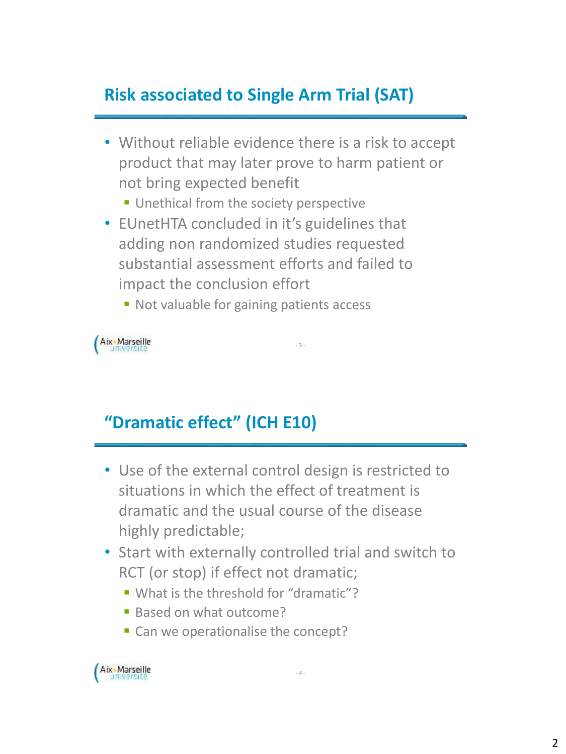# **Risk associated to Single Arm Trial (SAT)**

- Without reliable evidence there is a risk to accept product that may later prove to harm patient or not bring expected benefit
	- Unethical from the society perspective
- EUnetHTA concluded in it's guidelines that adding non randomized studies requested substantial assessment efforts and failed to impact the conclusion effort
	- Not valuable for gaining patients access

Aix-Marseille

## **"Dramatic effect" (ICH E10)**

• Use of the external control design is restricted to situations in which the effect of treatment is dramatic and the usual course of the disease highly predictable;

- 3 -

- Start with externally controlled trial and switch to RCT (or stop) if effect not dramatic;
	- What is the threshold for "dramatic"?
	- **Based on what outcome?**
	- Can we operationalise the concept?

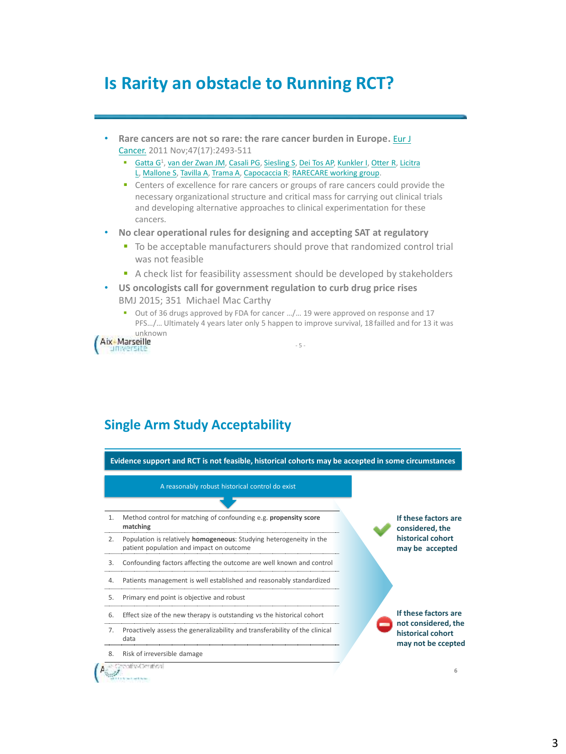## **Is Rarity an obstacle to Running RCT?**

- **[Rare cancers are not so rare: the rare cancer burden in Europe.](https://www.ncbi.nlm.nih.gov/pubmed/22033323)** Eur J Cancer. 2011 Nov;47(17):2493-511
	- [Gatta](https://www.ncbi.nlm.nih.gov/pubmed/?term=Gatta G[Author]&cauthor=true&cauthor_uid=22033323) G<sup>1</sup>, [van der Zwan](https://www.ncbi.nlm.nih.gov/pubmed/?term=van der Zwan JM[Author]&cauthor=true&cauthor_uid=22033323) JM, [Casali](https://www.ncbi.nlm.nih.gov/pubmed/?term=Casali PG[Author]&cauthor=true&cauthor_uid=22033323) PG, [Siesling](https://www.ncbi.nlm.nih.gov/pubmed/?term=Siesling S[Author]&cauthor=true&cauthor_uid=22033323) S, [Dei Tos](https://www.ncbi.nlm.nih.gov/pubmed/?term=Dei Tos AP[Author]&cauthor=true&cauthor_uid=22033323) AP, [Kunkler](https://www.ncbi.nlm.nih.gov/pubmed/?term=Kunkler I[Author]&cauthor=true&cauthor_uid=22033323) I, [Otter R,](https://www.ncbi.nlm.nih.gov/pubmed/?term=Otter R[Author]&cauthor=true&cauthor_uid=22033323) Licitra L, [Mallone](https://www.ncbi.nlm.nih.gov/pubmed/?term=Mallone S[Author]&cauthor=true&cauthor_uid=22033323) S, [Tavilla](https://www.ncbi.nlm.nih.gov/pubmed/?term=Tavilla A[Author]&cauthor=true&cauthor_uid=22033323) A, [Trama](https://www.ncbi.nlm.nih.gov/pubmed/?term=Trama A[Author]&cauthor=true&cauthor_uid=22033323) A, [Capocaccia](https://www.ncbi.nlm.nih.gov/pubmed/?term=Capocaccia R[Author]&cauthor=true&cauthor_uid=22033323) R; [RARECARE working group.](https://www.ncbi.nlm.nih.gov/pubmed/?term=Licitra L[Author]&cauthor=true&cauthor_uid=22033323)
	- **EX** Centers of excellence for rare cancers or groups of rare cancers could provide the necessary organizational structure and critical mass for carrying out clinical trials and developing alternative approaches to clinical experimentation for these cancers.
- **No clear operational rules for designing and accepting SAT at regulatory**
	- To be acceptable manufacturers should prove that randomized control trial was not feasible
	- A check list for feasibility assessment should be developed by stakeholders
- **US oncologists call for government regulation to curb drug price rises**  BMJ 2015; 351 Michael Mac Carthy
	- Out of 36 drugs approved by FDA for cancer …/… 19 were approved on response and 17 PFS…/… Ultimately 4 years later only 5 happen to improve survival, 18 failled and for 13 it was

- 5 -



#### **Single Arm Study Acceptability**